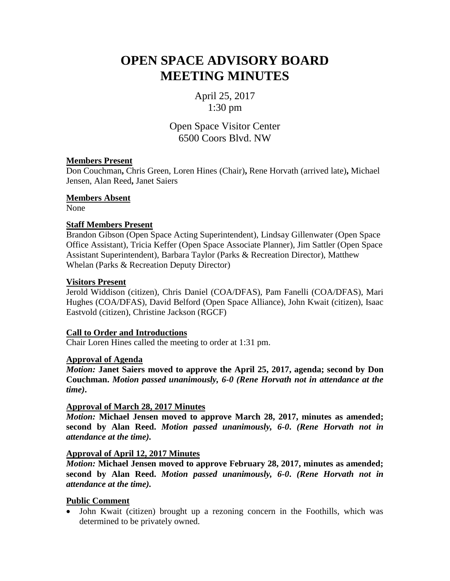# **OPEN SPACE ADVISORY BOARD MEETING MINUTES**

April 25, 2017 1:30 pm

Open Space Visitor Center 6500 Coors Blvd. NW

## **Members Present**

Don Couchman**,** Chris Green, Loren Hines (Chair)**,** Rene Horvath (arrived late)**,** Michael Jensen, Alan Reed**,** Janet Saiers

## **Members Absent**

None

## **Staff Members Present**

Brandon Gibson (Open Space Acting Superintendent), Lindsay Gillenwater (Open Space Office Assistant), Tricia Keffer (Open Space Associate Planner), Jim Sattler (Open Space Assistant Superintendent), Barbara Taylor (Parks & Recreation Director), Matthew Whelan (Parks & Recreation Deputy Director)

## **Visitors Present**

Jerold Widdison (citizen), Chris Daniel (COA/DFAS), Pam Fanelli (COA/DFAS), Mari Hughes (COA/DFAS), David Belford (Open Space Alliance), John Kwait (citizen), Isaac Eastvold (citizen), Christine Jackson (RGCF)

# **Call to Order and Introductions**

Chair Loren Hines called the meeting to order at 1:31 pm.

## **Approval of Agenda**

*Motion:* **Janet Saiers moved to approve the April 25, 2017, agenda; second by Don Couchman.** *Motion passed unanimously, 6-0 (Rene Horvath not in attendance at the time)***.**

#### **Approval of March 28, 2017 Minutes**

*Motion:* **Michael Jensen moved to approve March 28, 2017, minutes as amended; second by Alan Reed.** *Motion passed unanimously, 6-0***.** *(Rene Horvath not in attendance at the time).*

#### **Approval of April 12, 2017 Minutes**

*Motion:* **Michael Jensen moved to approve February 28, 2017, minutes as amended; second by Alan Reed.** *Motion passed unanimously, 6-0***.** *(Rene Horvath not in attendance at the time).*

#### **Public Comment**

• John Kwait (citizen) brought up a rezoning concern in the Foothills, which was determined to be privately owned.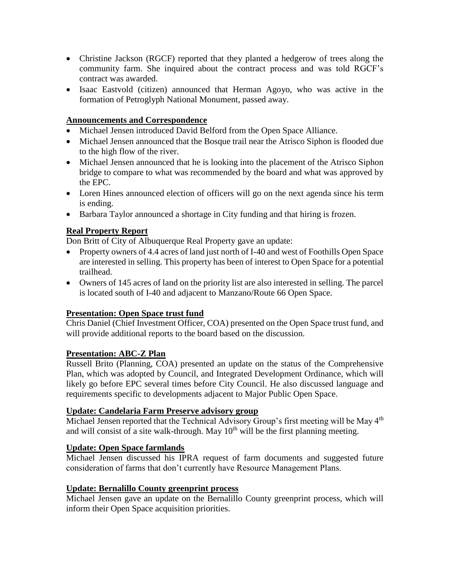- Christine Jackson (RGCF) reported that they planted a hedgerow of trees along the community farm. She inquired about the contract process and was told RGCF's contract was awarded.
- Isaac Eastvold (citizen) announced that Herman Agoyo, who was active in the formation of Petroglyph National Monument, passed away.

## **Announcements and Correspondence**

- Michael Jensen introduced David Belford from the Open Space Alliance.
- Michael Jensen announced that the Bosque trail near the Atrisco Siphon is flooded due to the high flow of the river.
- Michael Jensen announced that he is looking into the placement of the Atrisco Siphon bridge to compare to what was recommended by the board and what was approved by the EPC.
- Loren Hines announced election of officers will go on the next agenda since his term is ending.
- Barbara Taylor announced a shortage in City funding and that hiring is frozen.

## **Real Property Report**

Don Britt of City of Albuquerque Real Property gave an update:

- Property owners of 4.4 acres of land just north of I-40 and west of Foothills Open Space are interested in selling. This property has been of interest to Open Space for a potential trailhead.
- Owners of 145 acres of land on the priority list are also interested in selling. The parcel is located south of I-40 and adjacent to Manzano/Route 66 Open Space.

#### **Presentation: Open Space trust fund**

Chris Daniel (Chief Investment Officer, COA) presented on the Open Space trust fund, and will provide additional reports to the board based on the discussion.

# **Presentation: ABC-Z Plan**

Russell Brito (Planning, COA) presented an update on the status of the Comprehensive Plan, which was adopted by Council, and Integrated Development Ordinance, which will likely go before EPC several times before City Council. He also discussed language and requirements specific to developments adjacent to Major Public Open Space.

#### **Update: Candelaria Farm Preserve advisory group**

Michael Jensen reported that the Technical Advisory Group's first meeting will be May 4<sup>th</sup> and will consist of a site walk-through. May  $10<sup>th</sup>$  will be the first planning meeting.

# **Update: Open Space farmlands**

Michael Jensen discussed his IPRA request of farm documents and suggested future consideration of farms that don't currently have Resource Management Plans.

#### **Update: Bernalillo County greenprint process**

Michael Jensen gave an update on the Bernalillo County greenprint process, which will inform their Open Space acquisition priorities.